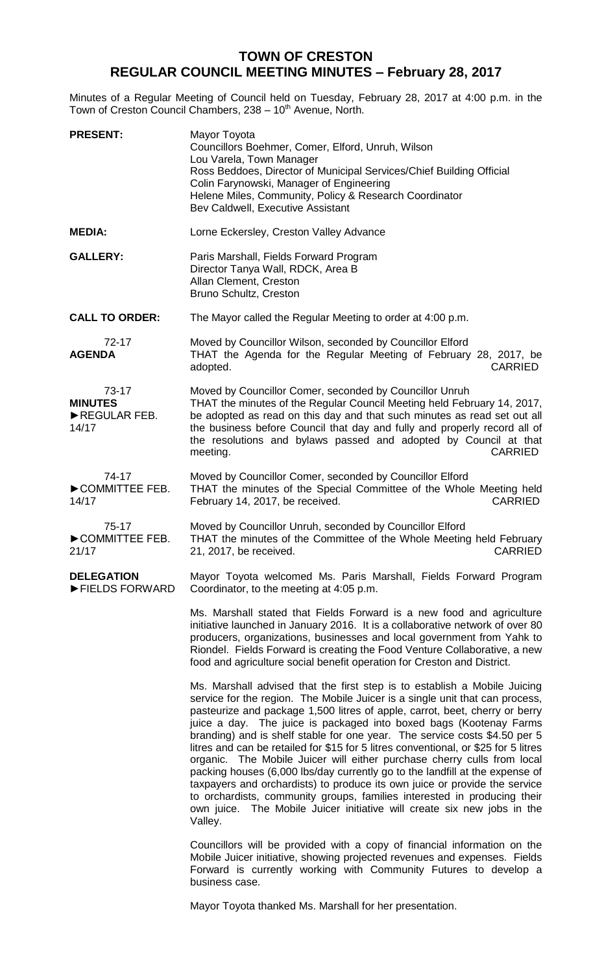## **TOWN OF CRESTON REGULAR COUNCIL MEETING MINUTES – February 28, 2017**

Minutes of a Regular Meeting of Council held on Tuesday, February 28, 2017 at 4:00 p.m. in the Town of Creston Council Chambers, 238 - 10<sup>th</sup> Avenue, North.

| <b>PRESENT:</b>                                  | Mayor Toyota<br>Councillors Boehmer, Comer, Elford, Unruh, Wilson<br>Lou Varela, Town Manager<br>Ross Beddoes, Director of Municipal Services/Chief Building Official<br>Colin Farynowski, Manager of Engineering<br>Helene Miles, Community, Policy & Research Coordinator<br>Bev Caldwell, Executive Assistant                                                                                                                                                                                                                                                                                                                                                                                                                                                                                                                                                                               |
|--------------------------------------------------|------------------------------------------------------------------------------------------------------------------------------------------------------------------------------------------------------------------------------------------------------------------------------------------------------------------------------------------------------------------------------------------------------------------------------------------------------------------------------------------------------------------------------------------------------------------------------------------------------------------------------------------------------------------------------------------------------------------------------------------------------------------------------------------------------------------------------------------------------------------------------------------------|
| <b>MEDIA:</b>                                    | Lorne Eckersley, Creston Valley Advance                                                                                                                                                                                                                                                                                                                                                                                                                                                                                                                                                                                                                                                                                                                                                                                                                                                        |
| <b>GALLERY:</b>                                  | Paris Marshall, Fields Forward Program<br>Director Tanya Wall, RDCK, Area B<br>Allan Clement, Creston<br>Bruno Schultz, Creston                                                                                                                                                                                                                                                                                                                                                                                                                                                                                                                                                                                                                                                                                                                                                                |
| <b>CALL TO ORDER:</b>                            | The Mayor called the Regular Meeting to order at 4:00 p.m.                                                                                                                                                                                                                                                                                                                                                                                                                                                                                                                                                                                                                                                                                                                                                                                                                                     |
| 72-17<br><b>AGENDA</b>                           | Moved by Councillor Wilson, seconded by Councillor Elford<br>THAT the Agenda for the Regular Meeting of February 28, 2017, be<br><b>CARRIED</b><br>adopted.                                                                                                                                                                                                                                                                                                                                                                                                                                                                                                                                                                                                                                                                                                                                    |
| 73-17<br><b>MINUTES</b><br>REGULAR FEB.<br>14/17 | Moved by Councillor Comer, seconded by Councillor Unruh<br>THAT the minutes of the Regular Council Meeting held February 14, 2017,<br>be adopted as read on this day and that such minutes as read set out all<br>the business before Council that day and fully and properly record all of<br>the resolutions and bylaws passed and adopted by Council at that<br><b>CARRIED</b><br>meeting.                                                                                                                                                                                                                                                                                                                                                                                                                                                                                                  |
| 74-17<br>COMMITTEE FEB.<br>14/17                 | Moved by Councillor Comer, seconded by Councillor Elford<br>THAT the minutes of the Special Committee of the Whole Meeting held<br><b>CARRIED</b><br>February 14, 2017, be received.                                                                                                                                                                                                                                                                                                                                                                                                                                                                                                                                                                                                                                                                                                           |
| $75-17$<br>COMMITTEE FEB.<br>21/17               | Moved by Councillor Unruh, seconded by Councillor Elford<br>THAT the minutes of the Committee of the Whole Meeting held February<br><b>CARRIED</b><br>21, 2017, be received.                                                                                                                                                                                                                                                                                                                                                                                                                                                                                                                                                                                                                                                                                                                   |
| <b>DELEGATION</b><br>FIELDS FORWARD              | Mayor Toyota welcomed Ms. Paris Marshall, Fields Forward Program<br>Coordinator, to the meeting at 4:05 p.m.                                                                                                                                                                                                                                                                                                                                                                                                                                                                                                                                                                                                                                                                                                                                                                                   |
|                                                  | Ms. Marshall stated that Fields Forward is a new food and agriculture<br>initiative launched in January 2016. It is a collaborative network of over 80<br>producers, organizations, businesses and local government from Yahk to<br>Riondel. Fields Forward is creating the Food Venture Collaborative, a new<br>food and agriculture social benefit operation for Creston and District.                                                                                                                                                                                                                                                                                                                                                                                                                                                                                                       |
|                                                  | Ms. Marshall advised that the first step is to establish a Mobile Juicing<br>service for the region. The Mobile Juicer is a single unit that can process,<br>pasteurize and package 1,500 litres of apple, carrot, beet, cherry or berry<br>juice a day. The juice is packaged into boxed bags (Kootenay Farms<br>branding) and is shelf stable for one year. The service costs \$4.50 per 5<br>litres and can be retailed for \$15 for 5 litres conventional, or \$25 for 5 litres<br>organic. The Mobile Juicer will either purchase cherry culls from local<br>packing houses (6,000 lbs/day currently go to the landfill at the expense of<br>taxpayers and orchardists) to produce its own juice or provide the service<br>to orchardists, community groups, families interested in producing their<br>own juice. The Mobile Juicer initiative will create six new jobs in the<br>Valley. |
|                                                  | Councillors will be provided with a copy of financial information on the<br>Mobile Juicer initiative, showing projected revenues and expenses. Fields<br>Forward is currently working with Community Futures to develop a<br>business case.                                                                                                                                                                                                                                                                                                                                                                                                                                                                                                                                                                                                                                                    |

Mayor Toyota thanked Ms. Marshall for her presentation.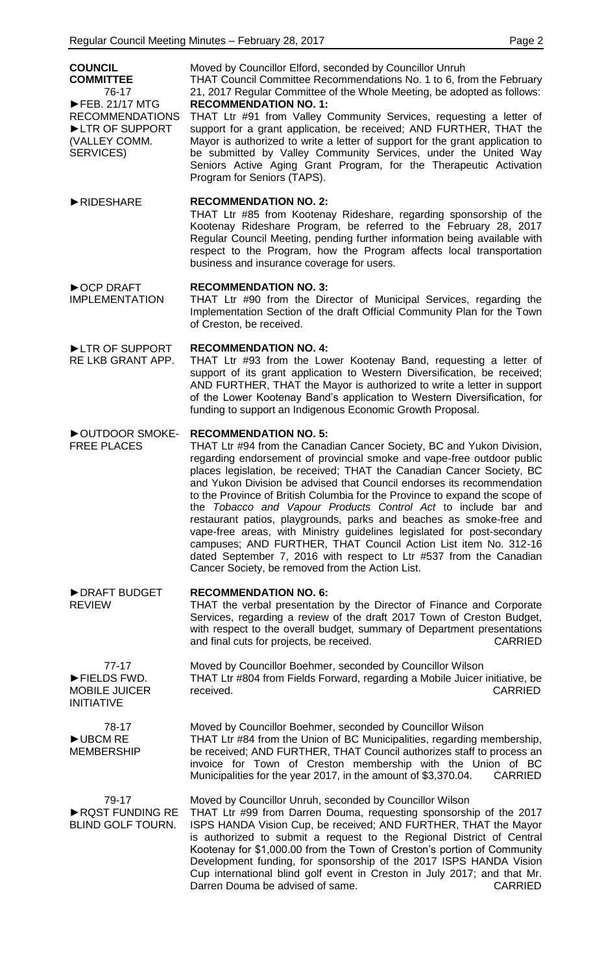| <b>COUNCIL</b><br><b>COMMITTEE</b><br>76-17<br>FEB. 21/17 MTG          | Moved by Councillor Elford, seconded by Councillor Unruh<br>THAT Council Committee Recommendations No. 1 to 6, from the February<br>21, 2017 Regular Committee of the Whole Meeting, be adopted as follows:<br><b>RECOMMENDATION NO. 1:</b>                                                                                                                                                                                                                                                                                                                                                                                                                                                                                                                                                                                        |
|------------------------------------------------------------------------|------------------------------------------------------------------------------------------------------------------------------------------------------------------------------------------------------------------------------------------------------------------------------------------------------------------------------------------------------------------------------------------------------------------------------------------------------------------------------------------------------------------------------------------------------------------------------------------------------------------------------------------------------------------------------------------------------------------------------------------------------------------------------------------------------------------------------------|
| <b>RECOMMENDATIONS</b><br>LTR OF SUPPORT<br>(VALLEY COMM.<br>SERVICES) | THAT Ltr #91 from Valley Community Services, requesting a letter of<br>support for a grant application, be received; AND FURTHER, THAT the<br>Mayor is authorized to write a letter of support for the grant application to<br>be submitted by Valley Community Services, under the United Way<br>Seniors Active Aging Grant Program, for the Therapeutic Activation<br>Program for Seniors (TAPS).                                                                                                                                                                                                                                                                                                                                                                                                                                |
| RIDESHARE                                                              | <b>RECOMMENDATION NO. 2:</b><br>THAT Ltr #85 from Kootenay Rideshare, regarding sponsorship of the<br>Kootenay Rideshare Program, be referred to the February 28, 2017<br>Regular Council Meeting, pending further information being available with<br>respect to the Program, how the Program affects local transportation<br>business and insurance coverage for users.                                                                                                                                                                                                                                                                                                                                                                                                                                                          |
| ▶ OCP DRAFT<br><b>IMPLEMENTATION</b>                                   | <b>RECOMMENDATION NO. 3:</b><br>THAT Ltr #90 from the Director of Municipal Services, regarding the<br>Implementation Section of the draft Official Community Plan for the Town<br>of Creston, be received.                                                                                                                                                                                                                                                                                                                                                                                                                                                                                                                                                                                                                        |
| LTR OF SUPPORT<br>RE LKB GRANT APP.                                    | <b>RECOMMENDATION NO. 4:</b><br>THAT Ltr #93 from the Lower Kootenay Band, requesting a letter of<br>support of its grant application to Western Diversification, be received;<br>AND FURTHER, THAT the Mayor is authorized to write a letter in support<br>of the Lower Kootenay Band's application to Western Diversification, for<br>funding to support an Indigenous Economic Growth Proposal.                                                                                                                                                                                                                                                                                                                                                                                                                                 |
| OUTDOOR SMOKE-<br><b>FREE PLACES</b>                                   | <b>RECOMMENDATION NO. 5:</b><br>THAT Ltr #94 from the Canadian Cancer Society, BC and Yukon Division,<br>regarding endorsement of provincial smoke and vape-free outdoor public<br>places legislation, be received; THAT the Canadian Cancer Society, BC<br>and Yukon Division be advised that Council endorses its recommendation<br>to the Province of British Columbia for the Province to expand the scope of<br>the Tobacco and Vapour Products Control Act to include bar and<br>restaurant patios, playgrounds, parks and beaches as smoke-free and<br>vape-free areas, with Ministry guidelines legislated for post-secondary<br>campuses; AND FURTHER, THAT Council Action List item No. 312-16<br>dated September 7, 2016 with respect to Ltr #537 from the Canadian<br>Cancer Society, be removed from the Action List. |
| DRAFT BUDGET<br><b>REVIEW</b>                                          | <b>RECOMMENDATION NO. 6:</b><br>THAT the verbal presentation by the Director of Finance and Corporate<br>Services, regarding a review of the draft 2017 Town of Creston Budget,<br>with respect to the overall budget, summary of Department presentations<br>and final cuts for projects, be received.<br><b>CARRIED</b>                                                                                                                                                                                                                                                                                                                                                                                                                                                                                                          |
| $77-17$<br>FIELDS FWD.<br><b>MOBILE JUICER</b><br><b>INITIATIVE</b>    | Moved by Councillor Boehmer, seconded by Councillor Wilson<br>THAT Ltr #804 from Fields Forward, regarding a Mobile Juicer initiative, be<br>received.<br><b>CARRIED</b>                                                                                                                                                                                                                                                                                                                                                                                                                                                                                                                                                                                                                                                           |
| 78-17<br>UBCM RE<br><b>MEMBERSHIP</b>                                  | Moved by Councillor Boehmer, seconded by Councillor Wilson<br>THAT Ltr #84 from the Union of BC Municipalities, regarding membership,<br>be received; AND FURTHER, THAT Council authorizes staff to process an<br>invoice for Town of Creston membership with the Union of BC<br>Municipalities for the year 2017, in the amount of \$3,370.04.<br><b>CARRIED</b>                                                                                                                                                                                                                                                                                                                                                                                                                                                                  |
| 79-17<br>RQST FUNDING RE<br><b>BLIND GOLF TOURN.</b>                   | Moved by Councillor Unruh, seconded by Councillor Wilson<br>THAT Ltr #99 from Darren Douma, requesting sponsorship of the 2017<br>ISPS HANDA Vision Cup, be received; AND FURTHER, THAT the Mayor<br>is authorized to submit a request to the Regional District of Central<br>Kootenay for \$1,000.00 from the Town of Creston's portion of Community<br>Development funding, for sponsorship of the 2017 ISPS HANDA Vision<br>Cup international blind golf event in Creston in July 2017; and that Mr.<br>Darren Douma be advised of same.<br><b>CARRIED</b>                                                                                                                                                                                                                                                                      |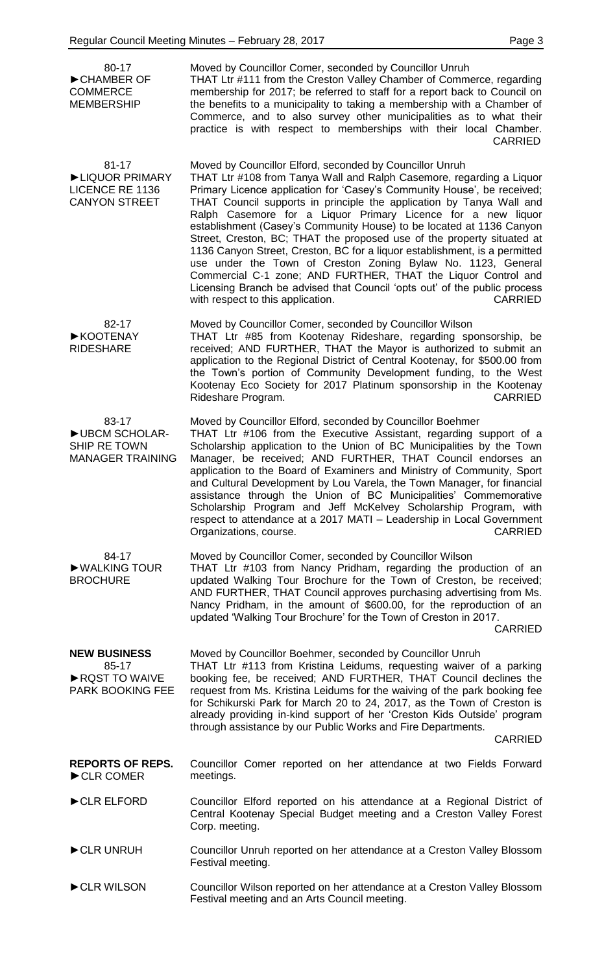80-17 ►CHAMBER OF **COMMERCE** MEMBERSHIP Moved by Councillor Comer, seconded by Councillor Unruh THAT Ltr #111 from the Creston Valley Chamber of Commerce, regarding membership for 2017; be referred to staff for a report back to Council on the benefits to a municipality to taking a membership with a Chamber of Commerce, and to also survey other municipalities as to what their practice is with respect to memberships with their local Chamber. CARRIED 81-17 ►LIQUOR PRIMARY LICENCE RE 1136 CANYON STREET Moved by Councillor Elford, seconded by Councillor Unruh THAT Ltr #108 from Tanya Wall and Ralph Casemore, regarding a Liquor Primary Licence application for 'Casey's Community House', be received; THAT Council supports in principle the application by Tanya Wall and Ralph Casemore for a Liquor Primary Licence for a new liquor establishment (Casey's Community House) to be located at 1136 Canyon Street, Creston, BC; THAT the proposed use of the property situated at 1136 Canyon Street, Creston, BC for a liquor establishment, is a permitted use under the Town of Creston Zoning Bylaw No. 1123, General Commercial C-1 zone; AND FURTHER, THAT the Liquor Control and Licensing Branch be advised that Council 'opts out' of the public process with respect to this application. The contraction of the CARRIED 82-17 ►KOOTENAY RIDESHARE Moved by Councillor Comer, seconded by Councillor Wilson THAT Ltr #85 from Kootenay Rideshare, regarding sponsorship, be received; AND FURTHER, THAT the Mayor is authorized to submit an application to the Regional District of Central Kootenay, for \$500.00 from the Town's portion of Community Development funding, to the West Kootenay Eco Society for 2017 Platinum sponsorship in the Kootenay Rideshare Program. CARRIED 83-17 ►UBCM SCHOLAR-SHIP RE TOWN MANAGER TRAINING Moved by Councillor Elford, seconded by Councillor Boehmer THAT Ltr #106 from the Executive Assistant, regarding support of a Scholarship application to the Union of BC Municipalities by the Town Manager, be received; AND FURTHER, THAT Council endorses an application to the Board of Examiners and Ministry of Community, Sport and Cultural Development by Lou Varela, the Town Manager, for financial assistance through the Union of BC Municipalities' Commemorative Scholarship Program and Jeff McKelvey Scholarship Program, with respect to attendance at a 2017 MATI – Leadership in Local Government Organizations, course. **CARRIED** 84-17 ►WALKING TOUR **BROCHURE** Moved by Councillor Comer, seconded by Councillor Wilson THAT Ltr #103 from Nancy Pridham, regarding the production of an updated Walking Tour Brochure for the Town of Creston, be received; AND FURTHER, THAT Council approves purchasing advertising from Ms. Nancy Pridham, in the amount of \$600.00, for the reproduction of an updated 'Walking Tour Brochure' for the Town of Creston in 2017. CARRIED **NEW BUSINESS** 85-17 ►RQST TO WAIVE PARK BOOKING FEE Moved by Councillor Boehmer, seconded by Councillor Unruh THAT Ltr #113 from Kristina Leidums, requesting waiver of a parking booking fee, be received; AND FURTHER, THAT Council declines the request from Ms. Kristina Leidums for the waiving of the park booking fee for Schikurski Park for March 20 to 24, 2017, as the Town of Creston is already providing in-kind support of her 'Creston Kids Outside' program through assistance by our Public Works and Fire Departments. CARRIED **REPORTS OF REPS.** ►CLR COMER Councillor Comer reported on her attendance at two Fields Forward meetings. ►CLR ELFORD Councillor Elford reported on his attendance at a Regional District of Central Kootenay Special Budget meeting and a Creston Valley Forest Corp. meeting.

- ►CLR UNRUH Councillor Unruh reported on her attendance at a Creston Valley Blossom Festival meeting.
- ►CLR WILSON Councillor Wilson reported on her attendance at a Creston Valley Blossom Festival meeting and an Arts Council meeting.